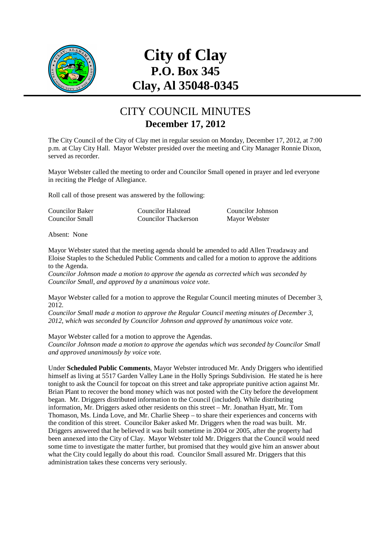

# **City of Clay P.O. Box 345 Clay, Al 35048-0345**

### CITY COUNCIL MINUTES **December 17, 2012**

The City Council of the City of Clay met in regular session on Monday, December 17, 2012, at 7:00 p.m. at Clay City Hall. Mayor Webster presided over the meeting and City Manager Ronnie Dixon, served as recorder.

Mayor Webster called the meeting to order and Councilor Small opened in prayer and led everyone in reciting the Pledge of Allegiance.

Roll call of those present was answered by the following:

| <b>Councilor Baker</b> | <b>Councilor Halstead</b>   | Councilor Johnson |
|------------------------|-----------------------------|-------------------|
| Councilor Small        | <b>Councilor Thackerson</b> | Mayor Webster     |

Absent: None

Mayor Webster stated that the meeting agenda should be amended to add Allen Treadaway and Eloise Staples to the Scheduled Public Comments and called for a motion to approve the additions to the Agenda.

*Councilor Johnson made a motion to approve the agenda as corrected which was seconded by Councilor Small, and approved by a unanimous voice vote.* 

Mayor Webster called for a motion to approve the Regular Council meeting minutes of December 3, 2012.

*Councilor Small made a motion to approve the Regular Council meeting minutes of December 3, 2012, which was seconded by Councilor Johnson and approved by unanimous voice vote.* 

Mayor Webster called for a motion to approve the Agendas. *Councilor Johnson made a motion to approve the agendas which was seconded by Councilor Small and approved unanimously by voice vote.* 

Under **Scheduled Public Comments**, Mayor Webster introduced Mr. Andy Driggers who identified himself as living at 5517 Garden Valley Lane in the Holly Springs Subdivision. He stated he is here tonight to ask the Council for topcoat on this street and take appropriate punitive action against Mr. Brian Plant to recover the bond money which was not posted with the City before the development began. Mr. Driggers distributed information to the Council (included). While distributing information, Mr. Driggers asked other residents on this street – Mr. Jonathan Hyatt, Mr. Tom Thomason, Ms. Linda Love, and Mr. Charlie Sheep – to share their experiences and concerns with the condition of this street. Councilor Baker asked Mr. Driggers when the road was built. Mr. Driggers answered that he believed it was built sometime in 2004 or 2005, after the property had been annexed into the City of Clay. Mayor Webster told Mr. Driggers that the Council would need some time to investigate the matter further, but promised that they would give him an answer about what the City could legally do about this road. Councilor Small assured Mr. Driggers that this administration takes these concerns very seriously.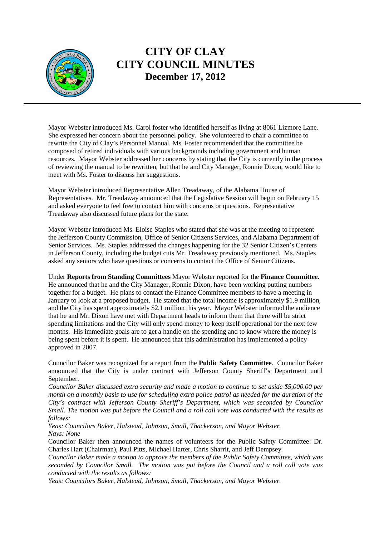

### **CITY OF CLAY CITY COUNCIL MINUTES December 17, 2012**

Mayor Webster introduced Ms. Carol foster who identified herself as living at 8061 Lizmore Lane. She expressed her concern about the personnel policy. She volunteered to chair a committee to rewrite the City of Clay's Personnel Manual. Ms. Foster recommended that the committee be composed of retired individuals with various backgrounds including government and human resources. Mayor Webster addressed her concerns by stating that the City is currently in the process of reviewing the manual to be rewritten, but that he and City Manager, Ronnie Dixon, would like to meet with Ms. Foster to discuss her suggestions.

Mayor Webster introduced Representative Allen Treadaway, of the Alabama House of Representatives. Mr. Treadaway announced that the Legislative Session will begin on February 15 and asked everyone to feel free to contact him with concerns or questions. Representative Treadaway also discussed future plans for the state.

Mayor Webster introduced Ms. Eloise Staples who stated that she was at the meeting to represent the Jefferson County Commission, Office of Senior Citizens Services, and Alabama Department of Senior Services. Ms. Staples addressed the changes happening for the 32 Senior Citizen's Centers in Jefferson County, including the budget cuts Mr. Treadaway previously mentioned. Ms. Staples asked any seniors who have questions or concerns to contact the Office of Senior Citizens.

Under **Reports from Standing Committees** Mayor Webster reported for the **Finance Committee.**  He announced that he and the City Manager, Ronnie Dixon, have been working putting numbers together for a budget. He plans to contact the Finance Committee members to have a meeting in January to look at a proposed budget. He stated that the total income is approximately \$1.9 million, and the City has spent approximately \$2.1 million this year. Mayor Webster informed the audience that he and Mr. Dixon have met with Department heads to inform them that there will be strict spending limitations and the City will only spend money to keep itself operational for the next few months. His immediate goals are to get a handle on the spending and to know where the money is being spent before it is spent. He announced that this administration has implemented a policy approved in 2007.

Councilor Baker was recognized for a report from the **Public Safety Committee**. Councilor Baker announced that the City is under contract with Jefferson County Sheriff's Department until September.

*Councilor Baker discussed extra security and made a motion to continue to set aside \$5,000.00 per month on a monthly basis to use for scheduling extra police patrol as needed for the duration of the City's contract with Jefferson County Sheriff's Department, which was seconded by Councilor Small. The motion was put before the Council and a roll call vote was conducted with the results as follows:* 

*Yeas: Councilors Baker, Halstead, Johnson, Small, Thackerson, and Mayor Webster. Nays: None* 

Councilor Baker then announced the names of volunteers for the Public Safety Committee: Dr. Charles Hart (Chairman), Paul Pitts, Michael Harter, Chris Sharrit, and Jeff Dempsey.

*Councilor Baker made a motion to approve the members of the Public Safety Committee, which was seconded by Councilor Small. The motion was put before the Council and a roll call vote was conducted with the results as follows:* 

*Yeas: Councilors Baker, Halstead, Johnson, Small, Thackerson, and Mayor Webster.*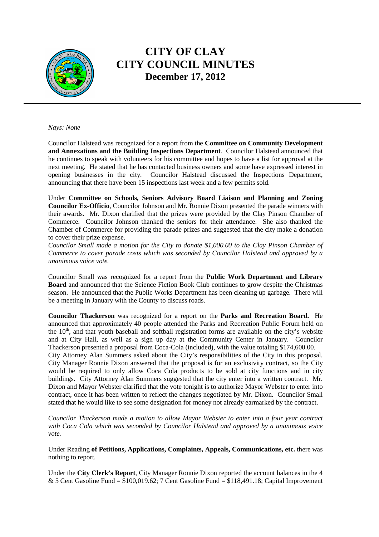

## **CITY OF CLAY CITY COUNCIL MINUTES December 17, 2012**

*Nays: None* 

Councilor Halstead was recognized for a report from the **Committee on Community Development and Annexations and the Building Inspections Department**. Councilor Halstead announced that he continues to speak with volunteers for his committee and hopes to have a list for approval at the next meeting. He stated that he has contacted business owners and some have expressed interest in opening businesses in the city. Councilor Halstead discussed the Inspections Department, announcing that there have been 15 inspections last week and a few permits sold.

Under **Committee on Schools, Seniors Advisory Board Liaison and Planning and Zoning Councilor Ex-Officio**, Councilor Johnson and Mr. Ronnie Dixon presented the parade winners with their awards. Mr. Dixon clarified that the prizes were provided by the Clay Pinson Chamber of Commerce. Councilor Johnson thanked the seniors for their attendance. She also thanked the Chamber of Commerce for providing the parade prizes and suggested that the city make a donation to cover their prize expense.

*Councilor Small made a motion for the City to donate \$1,000.00 to the Clay Pinson Chamber of Commerce to cover parade costs which was seconded by Councilor Halstead and approved by a unanimous voice vote.* 

Councilor Small was recognized for a report from the **Public Work Department and Library Board** and announced that the Science Fiction Book Club continues to grow despite the Christmas season. He announced that the Public Works Department has been cleaning up garbage. There will be a meeting in January with the County to discuss roads.

**Councilor Thackerson** was recognized for a report on the **Parks and Recreation Board.** He announced that approximately 40 people attended the Parks and Recreation Public Forum held on the  $10<sup>th</sup>$ , and that youth baseball and softball registration forms are available on the city's website and at City Hall, as well as a sign up day at the Community Center in January. Councilor Thackerson presented a proposal from Coca-Cola (included), with the value totaling \$174,600.00. City Attorney Alan Summers asked about the City's responsibilities of the City in this proposal. City Manager Ronnie Dixon answered that the proposal is for an exclusivity contract, so the City would be required to only allow Coca Cola products to be sold at city functions and in city

buildings. City Attorney Alan Summers suggested that the city enter into a written contract. Mr. Dixon and Mayor Webster clarified that the vote tonight is to authorize Mayor Webster to enter into contract, once it has been written to reflect the changes negotiated by Mr. Dixon. Councilor Small stated that he would like to see some designation for money not already earmarked by the contract.

*Councilor Thackerson made a motion to allow Mayor Webster to enter into a four year contract with Coca Cola which was seconded by Councilor Halstead and approved by a unanimous voice vote.*

Under Reading **of Petitions, Applications, Complaints, Appeals, Communications, etc.** there was nothing to report.

Under the **City Clerk's Report**, City Manager Ronnie Dixon reported the account balances in the 4 & 5 Cent Gasoline Fund =  $$100,019.62$ ; 7 Cent Gasoline Fund =  $$118,491.18$ ; Capital Improvement